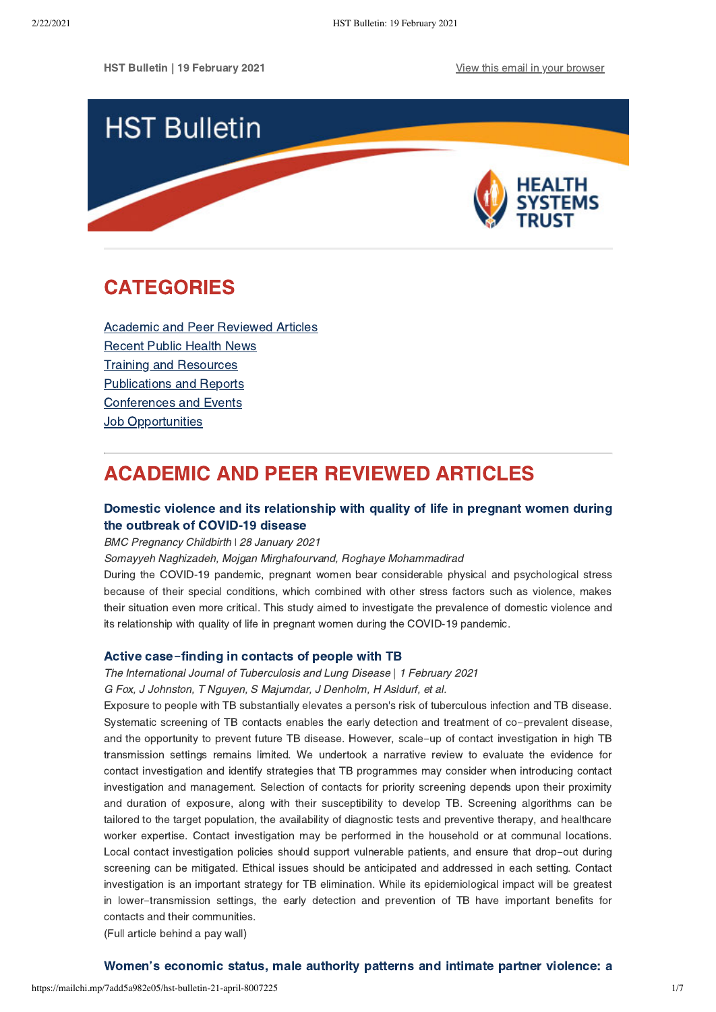

# <span id="page-0-1"></span>CATEGORIES

[Academic and Peer Reviewed Articles](#page-0-0) [Recent Public Health News](#page-2-0) Training and Resources [Publications and Reports](#page-3-0) [Conferences and Events](#page-5-0) **[Job Opportunities](#page-5-1)** 

# <span id="page-0-0"></span>ACADEMIC AND PEER REVIEWED ARTICLES

# [Domestic violence and its relationship](https://pubmed.ncbi.nlm.nih.gov/33509103/) with quality of life in pregnant women during the outbreak of COVID-19 disease

### BMC Pregnancy Childbirth \ 28 January 2021

Somayyeh Naghizadeh, Mojgan Mirghafourvand, Roghaye Mohammadirad

During the COVID-19 pandemic, pregnant women bear considerable physical and psychological stress because of their special conditions, which combined with other stress factors such as violence, makes their situation even more critical. This study aimed to investigate the prevalence of domestic violence and its relationship with quality of life in pregnant women during the COVID-19 pandemic.

### Active case**-**[finding in contacts of people with TB](https://www.ingentaconnect.com/contentone/iuatld/ijtld/2021/00000025/00000002/art00004)

The International Journal of Tuberculosis and Lung Disease | 1 February 2021

G Fox, J Johnston, T Nguyen, S Majumdar, J Denholm, H Asldurf, et al.

Exposure to people with TB substantially elevates a person's risk of tuberculous infection and TB disease. Systematic screening of TB contacts enables the early detection and treatment of co-prevalent disease, and the opportunity to prevent future TB disease. However, scale-up of contact investigation in high TB transmission settings remains limited. We undertook a narrative review to evaluate the evidence for contact investigation and identify strategies that TB programmes may consider when introducing contact investigation and management. Selection of contacts for priority screening depends upon their proximity and duration of exposure, along with their susceptibility to develop TB. Screening algorithms can be tailored to the target population, the availability of diagnostic tests and preventive therapy, and healthcare worker expertise. Contact investigation may be performed in the household or at communal locations. Local contact investigation policies should support vulnerable patients, and ensure that drop-out during screening can be mitigated. Ethical issues should be anticipated and addressed in each setting. Contact investigation is an important strategy for TB elimination. While its epidemiological impact will be greatest in lower-transmission settings, the early detection and prevention of TB have important benefits for contacts and their communities.

(Full article behind a pay wall)

# [Women's economic status, male authority patterns and intimate partner violence: a](https://www.tandfonline.com/doi/full/10.1080/13691058.2021.1880639)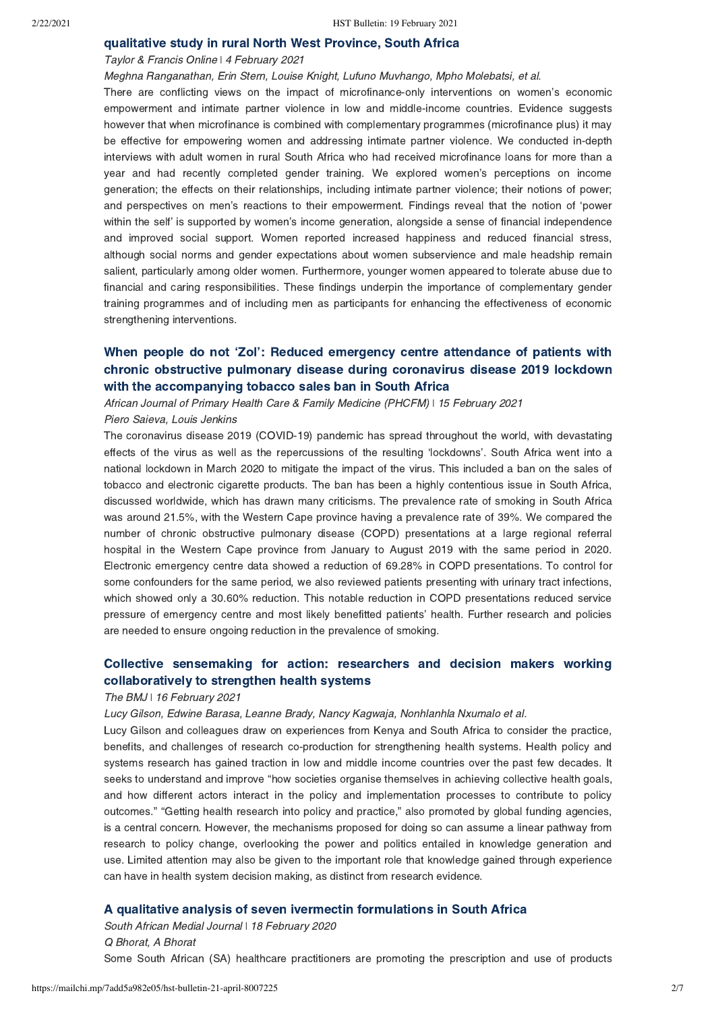### [qualitative study in rural North West Province, South Africa](https://www.tandfonline.com/doi/full/10.1080/13691058.2021.1880639)

### Taylor & Francis Online | 4 February 2021

Meghna Ranganathan, Erin Stern, Louise Knight, Lufuno Muvhango, Mpho Molebatsi, et al. There are conflicting views on the impact of microfinance-only interventions on women's economic empowerment and intimate partner violence in low and middle-income countries. Evidence suggests however that when microfinance is combined with complementary programmes (microfinance plus) it may be effective for empowering women and addressing intimate partner violence. We conducted in-depth interviews with adult women in rural South Africa who had received microfinance loans for more than a year and had recently completed gender training. We explored women's perceptions on income generation; the effects on their relationships, including intimate partner violence; their notions of power; and perspectives on men's reactions to their empowerment. Findings reveal that the notion of 'power within the self' is supported by women's income generation, alongside a sense of financial independence and improved social support. Women reported increased happiness and reduced financial stress, although social norms and gender expectations about women subservience and male headship remain salient, particularly among older women. Furthermore, younger women appeared to tolerate abuse due to financial and caring responsibilities. These findings underpin the importance of complementary gender training programmes and of including men as participants for enhancing the effectiveness of economic strengthening interventions.

## [When people do not 'Zol': Reduced emergency centre attendance of patients with](https://phcfm.org/index.php/phcfm/article/view/2750/4459) chronic obstructive pulmonary disease during coronavirus disease 2019 lockdown with the accompanying tobacco sales ban in South Africa

African Journal of Primary Health Care & Family Medicine (PHCFM) | 15 February 2021 Piero Saieva, Louis Jenkins

The coronavirus disease 2019 (COVID-19) pandemic has spread throughout the world, with devastating effects of the virus as well as the repercussions of the resulting 'lockdowns'. South Africa went into a national lockdown in March 2020 to mitigate the impact of the virus. This included a ban on the sales of tobacco and electronic cigarette products. The ban has been a highly contentious issue in South Africa, discussed worldwide, which has drawn many criticisms. The prevalence rate of smoking in South Africa was around 21.5%, with the Western Cape province having a prevalence rate of 39%. We compared the number of chronic obstructive pulmonary disease (COPD) presentations at a large regional referral hospital in the Western Cape province from January to August 2019 with the same period in 2020. Electronic emergency centre data showed a reduction of 69.28% in COPD presentations. To control for some confounders for the same period, we also reviewed patients presenting with urinary tract infections, which showed only a 30.60% reduction. This notable reduction in COPD presentations reduced service pressure of emergency centre and most likely benefitted patients' health. Further research and policies are needed to ensure ongoing reduction in the prevalence of smoking.

## [Collective sensemaking for action: researchers and decision makers working](https://www.bmj.com/content/372/bmj.m4650) collaboratively to strengthen health systems

### The BMJ | 16 February 2021

Lucy Gilson, Edwine Barasa, Leanne Brady, Nancy Kagwaja, Nonhlanhla Nxumalo et al.

Lucy Gilson and colleagues draw on experiences from Kenya and South Africa to consider the practice, benefits, and challenges of research co-production for strengthening health systems. Health policy and systems research has gained traction in low and middle income countries over the past few decades. It seeks to understand and improve "how societies organise themselves in achieving collective health goals, and how different actors interact in the policy and implementation processes to contribute to policy outcomes." "Getting health research into policy and practice," also promoted by global funding agencies, is a central concern. However, the mechanisms proposed for doing so can assume a linear pathway from research to policy change, overlooking the power and politics entailed in knowledge generation and use. Limited attention may also be given to the important role that knowledge gained through experience can have in health system decision making, as distinct from research evidence.

### [A qualitative analysis of seven ivermectin formulations in South Africa](http://www.samj.org.za/index.php/samj/article/view/13210)

South African Medial Journal | 18 February 2020 Q Bhorat, A Bhorat Some South African (SA) healthcare practitioners are promoting the prescription and use of products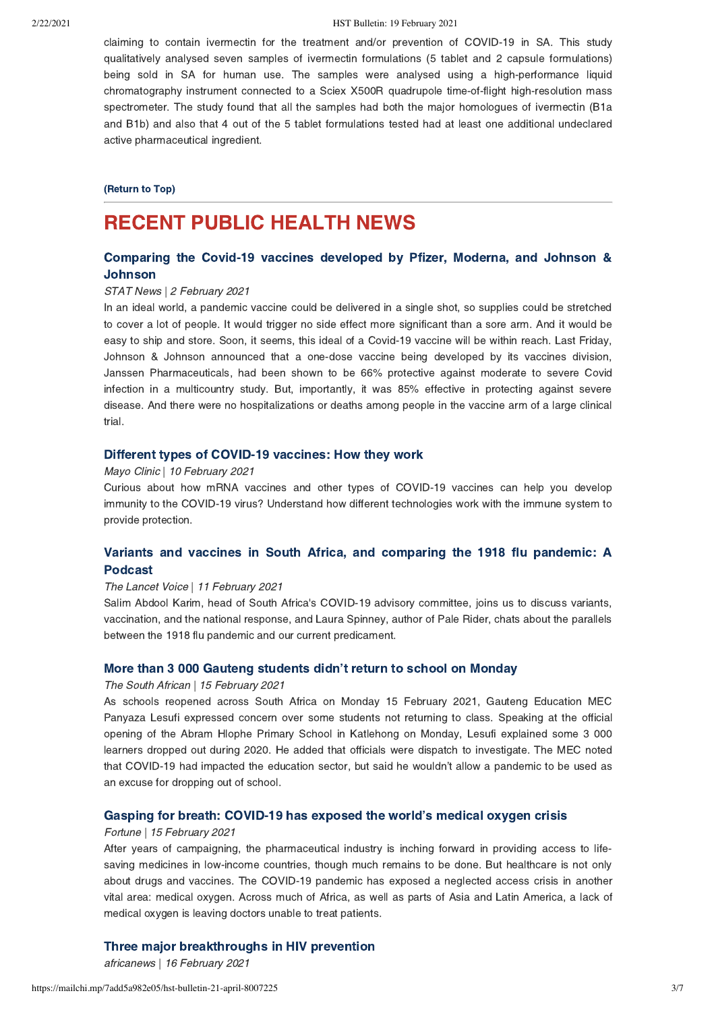claiming to contain ivermectin for the treatment and/or prevention of COVID-19 in SA. This study qualitatively analysed seven samples of ivermectin formulations (5 tablet and 2 capsule formulations) being sold in SA for human use. The samples were analysed using a high-performance liquid chromatography instrument connected to a Sciex X500R quadrupole time-of-flight high-resolution mass spectrometer. The study found that all the samples had both the major homologues of ivermectin (B1a and B1b) and also that 4 out of the 5 tablet formulations tested had at least one additional undeclared active pharmaceutical ingredient.

### [\(Return to Top\)](#page-0-1)

# <span id="page-2-0"></span>RECENT PUBLIC HEALTH NEWS

# [Comparing the Covid-19 vaccines developed by Pfizer, Moderna, and Johnson &](https://www.statnews.com/2021/02/02/comparing-the-covid-19-vaccines-developed-by-pfizer-moderna-and-johnson-johnson/) Johnson

### STAT News | 2 February 2021

In an ideal world, a pandemic vaccine could be delivered in a single shot, so supplies could be stretched to cover a lot of people. It would trigger no side effect more significant than a sore arm. And it would be easy to ship and store. Soon, it seems, this ideal of a Covid-19 vaccine will be within reach. Last Friday, Johnson & Johnson announced that a one-dose vaccine being developed by its vaccines division, Janssen Pharmaceuticals, had been shown to be 66% protective against moderate to severe Covid infection in a multicountry study. But, importantly, it was 85% effective in protecting against severe disease. And there were no hospitalizations or deaths among people in the vaccine arm of a large clinical trial.

### [Different types of COVID-19 vaccines: How they work](https://www.mayoclinic.org/diseases-conditions/coronavirus/in-depth/different-types-of-covid-19-vaccines/art-20506465)

### Mayo Clinic | 10 February 2021

Curious about how mRNA vaccines and other types of COVID-19 vaccines can help you develop immunity to the COVID-19 virus? Understand how different technologies work with the immune system to provide protection.

## [Variants and vaccines in South Africa, and comparing the 1918 flu pandemic: A](https://www.buzzsprout.com/861868/7809181?fbclid=IwAR3BLzi6xl_luTPbyOtMACsYUPurhfcpD2trqml1IKpUpuYoGv6ag2sirG4) Podcast

### The Lancet Voice | 11 February 2021

Salim Abdool Karim, head of South Africa's COVID-19 advisory committee, joins us to discuss variants, vaccination, and the national response, and Laura Spinney, author of Pale Rider, chats about the parallels between the 1918 flu pandemic and our current predicament.

### [More than 3 000 Gauteng students didn't return to school on Monday](https://www.thesouthafrican.com/news/back-to-school-gauteng-15-february/)

### The South African | 15 February 2021

As schools reopened across South Africa on Monday 15 February 2021, Gauteng Education MEC Panyaza Lesufi expressed concern over some students not returning to class. Speaking at the official opening of the Abram Hlophe Primary School in Katlehong on Monday, Lesufi explained some 3 000 learners dropped out during 2020. He added that officials were dispatch to investigate. The MEC noted that COVID-19 had impacted the education sector, but said he wouldn't allow a pandemic to be used as an excuse for dropping out of school.

### [Gasping for breath: COVID-19 has exposed the world's medical oxygen crisis](https://fortune.com/2021/02/15/covid-19-medical-oxygen-shortage-crisis/)

### Fortune | 15 February 2021

After years of campaigning, the pharmaceutical industry is inching forward in providing access to lifesaving medicines in low-income countries, though much remains to be done. But healthcare is not only about drugs and vaccines. The COVID-19 pandemic has exposed a neglected access crisis in another vital area: medical oxygen. Across much of Africa, as well as parts of Asia and Latin America, a lack of medical oxygen is leaving doctors unable to treat patients.

### [Three major breakthroughs in HIV prevention](https://www.africanews.com/2021/02/16/3-major-breakthroughs-in-hiv-prevention/)

africanews | 16 February 2021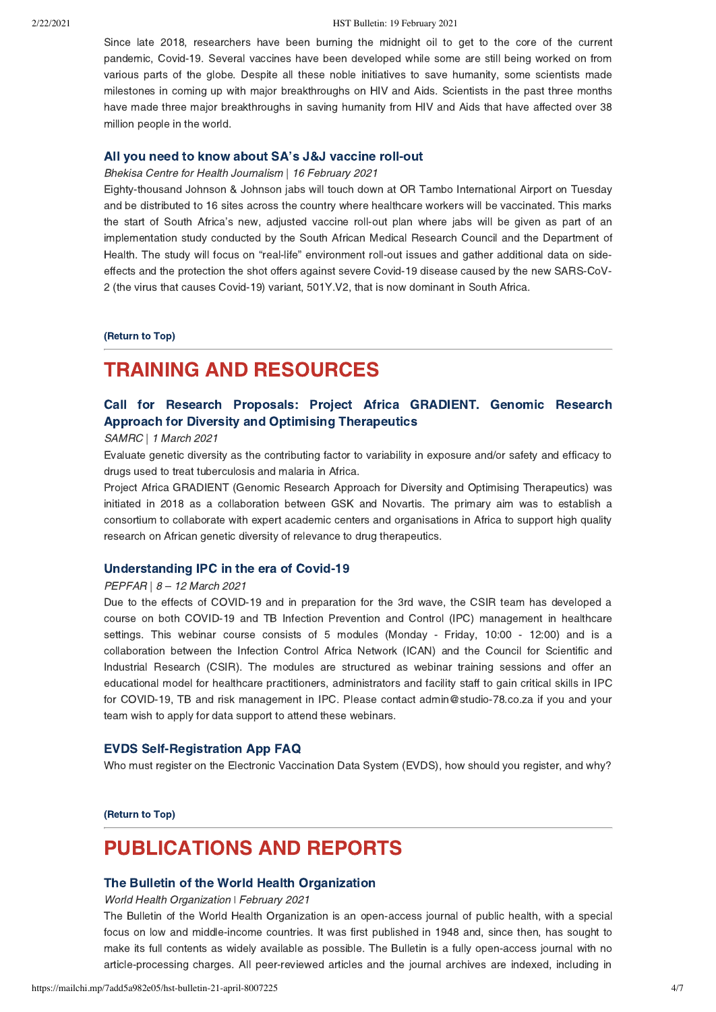#### 2/22/2021 HST Bulletin: 19 February 2021

Since late 2018, researchers have been burning the midnight oil to get to the core of the current pandemic, Covid-19. Several vaccines have been developed while some are still being worked on from various parts of the globe. Despite all these noble initiatives to save humanity, some scientists made milestones in coming up with major breakthroughs on HIV and Aids. Scientists in the past three months have made three major breakthroughs in saving humanity from HIV and Aids that have affected over 38 million people in the world.

### [All you need to know about SA's J&J vaccine roll-out](https://www.dailymaverick.co.za/article/2021-02-16-all-you-need-to-know-about-sas-jj-vaccine-roll-out/)

### Bhekisa Centre for Health Journalism | 16 February 2021

Eighty-thousand Johnson & Johnson jabs will touch down at OR Tambo International Airport on Tuesday and be distributed to 16 sites across the country where healthcare workers will be vaccinated. This marks the start of South Africa's new, adjusted vaccine roll-out plan where jabs will be given as part of an implementation study conducted by the South African Medical Research Council and the Department of Health. The study will focus on "real-life" environment roll-out issues and gather additional data on sideeffects and the protection the shot offers against severe Covid-19 disease caused by the new SARS-CoV-2 (the virus that causes Covid-19) variant, 501Y.V2, that is now dominant in South Africa.

[\(Return to Top\)](#page-0-1)

# <span id="page-3-0"></span>TRAINING AND RESOURCES

# [Call for Research Proposals: Project Africa GRADIENT. Genomic Research](https://www.samrc.ac.za/request-for-applications/project-africa-gradient) Approach for Diversity and Optimising Therapeutics

### SAMRC | 1 March 2021

Evaluate genetic diversity as the contributing factor to variability in exposure and/or safety and efficacy to drugs used to treat tuberculosis and malaria in Africa.

Project Africa GRADIENT (Genomic Research Approach for Diversity and Optimising Therapeutics) was initiated in 2018 as a collaboration between GSK and Novartis. The primary aim was to establish a consortium to collaborate with expert academic centers and organisations in Africa to support high quality research on African genetic diversity of relevance to drug therapeutics.

### [Understanding IPC in the era of Covid-19](https://form.jotform.com/210445886309562)

### PEPFAR | 8 – 12 March 2021

Due to the effects of COVID-19 and in preparation for the 3rd wave, the CSIR team has developed a course on both COVID-19 and TB Infection Prevention and Control (IPC) management in healthcare settings. This webinar course consists of 5 modules (Monday - Friday, 10:00 - 12:00) and is a collaboration between the Infection Control Africa Network (ICAN) and the Council for Scientific and Industrial Research (CSIR). The modules are structured as webinar training sessions and offer an educational model for healthcare practitioners, administrators and facility staff to gain critical skills in IPC for COVID-19, TB and risk management in IPC. Please contact admin@studio-78.co.za if you and your team wish to apply for data support to attend these webinars.

### [EVDS Self-Registration App FAQ](https://sacoronavirus.co.za/evds/)

Who must register on the Electronic Vaccination Data System (EVDS), how should you register, and why?

[\(Return to Top\)](#page-0-1)

# PUBLICATIONS AND REPORTS

### The [Bulletin of the World Health Organization](https://www.who.int/bulletin/volumes/99/2/21-000221.pdf)

World Health Organization ǀ February 2021

The Bulletin of the World Health Organization is an open-access journal of public health, with a special focus on low and middle-income countries. It was first published in 1948 and, since then, has sought to make its full contents as widely available as possible. The Bulletin is a fully open-access journal with no article-processing charges. All peer-reviewed articles and the journal archives are indexed, including in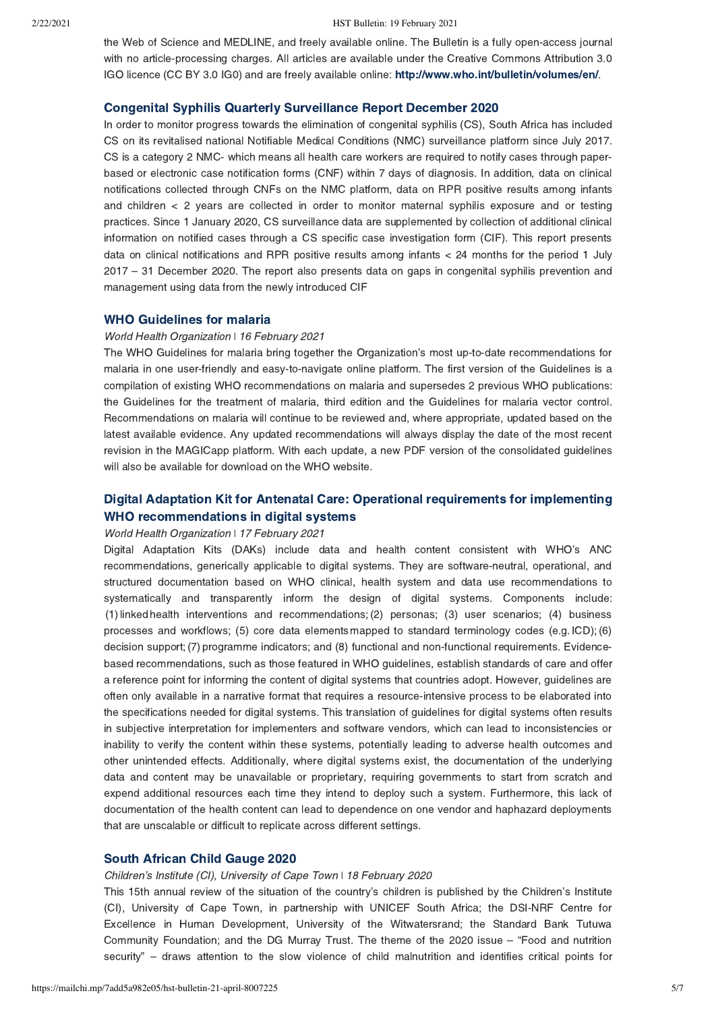the Web of Science and MEDLINE, and freely available online. The Bulletin is a fully open-access journal with no article-processing charges. All articles are available under the Creative Commons Attribution 3.0 IGO licence (CC BY 3.0 IG0) and are freely available online: [http://www.who.int/bulletin/volumes/en/.](http://www.who.int/bulletin/volumes/en/)

### [Congenital Syphilis Quarterly Surveillance Report December 2020](https://www.nicd.ac.za/wp-content/uploads/2021/02/Congenital-Syphilis-Quarterly-Surveillance-Report.pdf?utm_content=buffer3d880&utm_medium=social&utm_source=twitter.com&utm_campaign=buffer)

In order to monitor progress towards the elimination of congenital syphilis (CS), South Africa has included CS on its revitalised national Notifiable Medical Conditions (NMC) surveillance platform since July 2017. CS is a category 2 NMC- which means all health care workers are required to notify cases through paperbased or electronic case notification forms (CNF) within 7 days of diagnosis. In addition, data on clinical notifications collected through CNFs on the NMC platform, data on RPR positive results among infants and children  $\lt$  2 years are collected in order to monitor maternal syphilis exposure and or testing practices. Since 1 January 2020, CS surveillance data are supplemented by collection of additional clinical information on notified cases through a CS specific case investigation form (CIF). This report presents data on clinical notifications and RPR positive results among infants < 24 months for the period 1 July 2017 – 31 December 2020. The report also presents data on gaps in congenital syphilis prevention and management using data from the newly introduced CIF

### [WHO Guidelines for malaria](https://www.who.int/publications/i/item/WHO-UCN-GMP-2021.01)

### World Health Organization | 16 February 2021

The WHO Guidelines for malaria bring together the Organization's most up-to-date recommendations for malaria in one user-friendly and easy-to-navigate online platform. The first version of the Guidelines is a compilation of existing WHO recommendations on malaria and supersedes 2 previous WHO publications: the Guidelines for the treatment of malaria, third edition and the Guidelines for malaria vector control. Recommendations on malaria will continue to be reviewed and, where appropriate, updated based on the latest available evidence. Any updated recommendations will always display the date of the most recent revision in the MAGICapp platform. With each update, a new PDF version of the consolidated guidelines will also be available for download on the WHO website.

# [Digital Adaptation Kit for Antenatal Care: Operational requirements for implementing](https://www.who.int/publications/i/item/9789240020306) WHO recommendations in digital systems

### World Health Organization ǀ 17 February 2021

Digital Adaptation Kits (DAKs) include data and health content consistent with WHO's ANC recommendations, generically applicable to digital systems. They are software-neutral, operational, and structured documentation based on WHO clinical, health system and data use recommendations to systematically and transparently inform the design of digital systems. Components include: (1) linked health interventions and recommendations; (2) personas; (3) user scenarios; (4) business processes and workflows; (5) core data elements mapped to standard terminology codes (e.g. ICD); (6) decision support; (7) programme indicators; and (8) functional and non-functional requirements. Evidencebased recommendations, such as those featured in WHO guidelines, establish standards of care and offer a reference point for informing the content of digital systems that countries adopt. However, guidelines are often only available in a narrative format that requires a resource-intensive process to be elaborated into the specifications needed for digital systems. This translation of guidelines for digital systems often results in subjective interpretation for implementers and software vendors, which can lead to inconsistencies or inability to verify the content within these systems, potentially leading to adverse health outcomes and other unintended effects. Additionally, where digital systems exist, the documentation of the underlying data and content may be unavailable or proprietary, requiring governments to start from scratch and expend additional resources each time they intend to deploy such a system. Furthermore, this lack of documentation of the health content can lead to dependence on one vendor and haphazard deployments that are unscalable or difficult to replicate across different settings.

### [South African Child Gauge 2020](http://www.ci.uct.ac.za/cg-2020-food-and-nutrition-security)

### Children's Institute (CI), University of Cape Town | 18 February 2020

This 15th annual review of the situation of the country's children is published by the Children's Institute (CI), University of Cape Town, in partnership with UNICEF South Africa; the DSI-NRF Centre for Excellence in Human Development, University of the Witwatersrand; the Standard Bank Tutuwa Community Foundation; and the DG Murray Trust. The theme of the 2020 issue – "Food and nutrition security" – draws attention to the slow violence of child malnutrition and identifies critical points for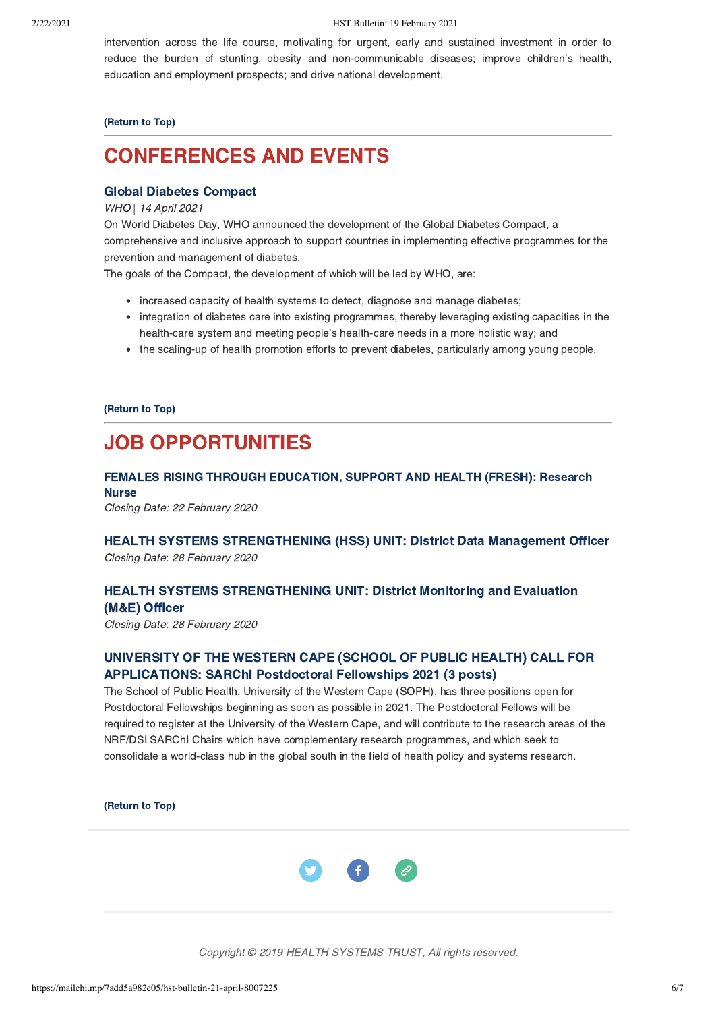intervention across the life course, motivating for urgent, early and sustained investment in order to reduce the burden of stunting, obesity and non-communicable diseases; improve children's health, education and employment prospects; and drive national development.

### [\(Return to Top\)](#page-0-1)

# <span id="page-5-0"></span>CONFERENCES AND EVENTS

### [Global Diabetes Compact](https://www.who.int/news/item/17-11-2020-who-announces-the-global-diabetes-compact)

### WHO | 14 April 2021

On World Diabetes Day, WHO announced the development of the Global Diabetes Compact, a comprehensive and inclusive approach to support countries in implementing effective programmes for the prevention and management of diabetes.

The goals of the Compact, the development of which will be led by WHO, are:

- increased capacity of health systems to detect, diagnose and manage diabetes;
- integration of diabetes care into existing programmes, thereby leveraging existing capacities in the health-care system and meeting people's health-care needs in a more holistic way; and
- the scaling-up of health promotion efforts to prevent diabetes, particularly among young people.

### [\(Return to Top\)](#page-0-1)

# <span id="page-5-1"></span>JOB OPPORTUNITIES

# [FEMALES RISING THROUGH EDUCATION, SUPPORT AND HEALTH \(FRESH\): Research](https://www.hst.org.za/Pages/Research-Nurse-(1).aspx%C2%A0) **Nurse**

Closing Date: 22 February 2020

### [HEALTH SYSTEMS STRENGTHENING \(HSS\) UNIT: District Data Management Officer](https://www.hst.org.za/Pages/District-Data-Management-Officer.aspx) Closing Date: 28 February 2020

## [HEALTH SYSTEMS STRENGTHENING UNIT: District Monitoring and Evaluation](https://www.hst.org.za/Pages/District-Monitoring-and-Evaluation-(ME)-Officer.aspx) (M&E) Officer

Closing Date: 28 February 2020

# [UNIVERSITY OF THE WESTERN CAPE \(SCHOOL OF PUBLIC HEALTH\) CALL FOR](http://uwcsoph.co.za/index.php/about/news-and-announcements/faculty-announcements-events/318-call-for-applications-sarchi-postdoctoral-fellowships-2021-3-posts) APPLICATIONS: SARChI Postdoctoral Fellowships 2021 (3 posts)

The School of Public Health, University of the Western Cape (SOPH), has three positions open for Postdoctoral Fellowships beginning as soon as possible in 2021. The Postdoctoral Fellows will be required to register at the University of the Western Cape, and will contribute to the research areas of the NRF/DSI SARChI Chairs which have complementary research programmes, and which seek to consolidate a world-class hub in the global south in the field of health policy and systems research.

[\(Return to Top\)](#page-0-1)



Copyright © 2019 HEALTH SYSTEMS TRUST, All rights reserved.